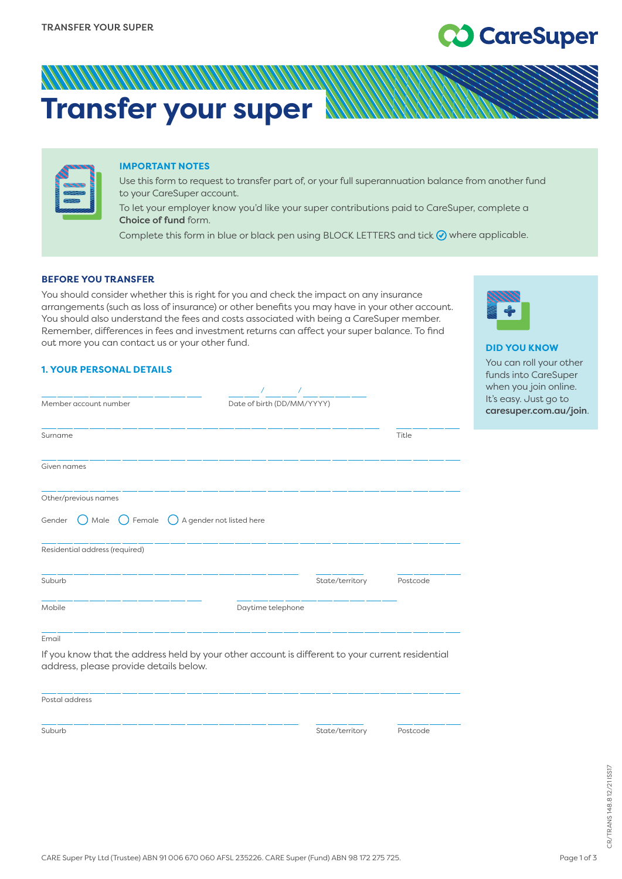# **CareSuper**

**DID YOU KNOW** You can roll your other funds into CareSuper when you join online. It's easy. Just go to [caresuper.com.au/join](http://www.caresuper.com.au/join).

## **Transfer your super**

| 9939 |  |
|------|--|
| 778  |  |
|      |  |

#### **IMPORTANT NOTES**

Use this form to request to transfer part of, or your full superannuation balance from another fund to your CareSuper account.

To let your employer know you'd like your super contributions paid to CareSuper, complete a Choice of fund form.

Complete this form in blue or black pen using BLOCK LETTERS and tick  $\odot$  where applicable.

#### **BEFORE YOU TRANSFER**

You should consider whether this is right for you and check the impact on any insurance arrangements (such as loss of insurance) or other benefits you may have in your other account. You should also understand the fees and costs associated with being a CareSuper member. Remember, differences in fees and investment returns can affect your super balance. To find out more you can contact us or your other fund.

| <b>1. YOUR PERSONAL DETAILS</b> |
|---------------------------------|
|---------------------------------|

| Member account number                                        | Date of birth (DD/MM/YYYY) |                 |          |
|--------------------------------------------------------------|----------------------------|-----------------|----------|
| Surname                                                      |                            |                 | Title    |
| Given names                                                  |                            |                 |          |
| Other/previous names                                         |                            |                 |          |
| Gender<br>A gender not listed here<br>Male $\bigcirc$ Female |                            |                 |          |
| Residential address (required)                               |                            |                 |          |
| Suburb                                                       |                            | State/territory | Postcode |
| Mobile                                                       | Daytime telephone          |                 |          |
| Email                                                        |                            |                 |          |

If you know that the address held by your other account is different to your current residential address, please provide details below.

| Postal address |                 |          |
|----------------|-----------------|----------|
| Suburb         | State/territory | Postcode |

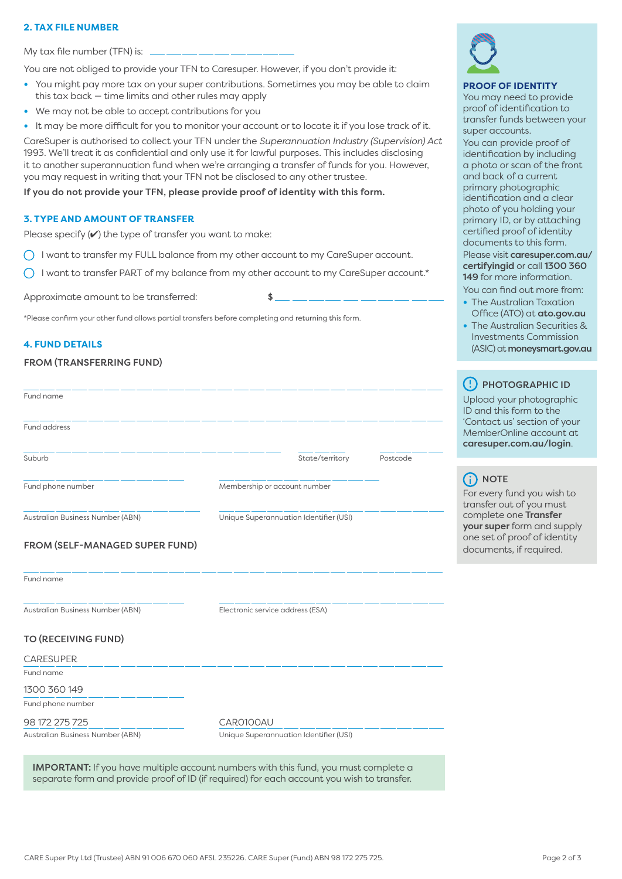#### **2. TAX FILE NUMBER**

My tax file number (TFN) is:

You are not obliged to provide your TFN to Caresuper. However, if you don't provide it:

- **•** You might pay more tax on your super contributions. Sometimes you may be able to claim this tax back — time limits and other rules may apply
- **•** We may not be able to accept contributions for you
- **•** It may be more difficult for you to monitor your account or to locate it if you lose track of it.

CareSuper is authorised to collect your TFN under the *Superannuation Industry (Supervision) Act* 1993. We'll treat it as confidential and only use it for lawful purposes. This includes disclosing it to another superannuation fund when we're arranging a transfer of funds for you. However, you may request in writing that your TFN not be disclosed to any other trustee.

#### If you do not provide your TFN, please provide proof of identity with this form.

#### **3. TYPE AND AMOUNT OF TRANSFER**

Please specify  $(V)$  the type of transfer you want to make:

 $\bigcap$  I want to transfer my FULL balance from my other account to my CareSuper account.

 $\bigcap$  I want to transfer PART of my balance from my other account to my CareSuper account.\*

Approximate amount to be transferred:  $\sim$ 

\*Please confirm your other fund allows partial transfers before completing and returning this form.

#### **4. FUND DETAILS**

#### FROM (TRANSFERRING FUND)

| Fund name                        |                                        |          |
|----------------------------------|----------------------------------------|----------|
| <b>Fund address</b>              |                                        |          |
| Suburb                           | State/territory                        | Postcode |
| Fund phone number                | Membership or account number           |          |
| Australian Business Number (ABN) | Unique Superannuation Identifier (USI) |          |
| FROM (SELF-MANAGED SUPER FUND)   |                                        |          |
| Fund name                        |                                        |          |
| Australian Business Number (ABN) | Electronic service address (ESA)       |          |
| <b>TO (RECEIVING FUND)</b>       |                                        |          |
| <b>CARESUPER</b>                 |                                        |          |
| Fund name                        |                                        |          |
| 1300 360 149                     |                                        |          |
| Fund phone number                |                                        |          |
| 98 172 275 725                   | CAR0100AU                              |          |
| Australian Business Number (ABN) | Unique Superannuation Identifier (USI) |          |

IMPORTANT: If you have multiple account numbers with this fund, you must complete a separate form and provide proof of ID (if required) for each account you wish to transfer.



#### **PROOF OF IDENTITY**

You may need to provide proof of identification to transfer funds between your super accounts.

You can provide proof of identification by including a photo or scan of the front [and back of a curren](http://caresuper.com.au/certifyingid)t primary photographic identification and a clear photo of you holding your primary ID, or by attaching certified proof of identity documents to this form. Please visit caresuper.com.au/ certifyingid or call 1300 360 149 for more information. Yo[u can find o](http://www.ato.gov.au)ut more from:

- **•** The Australian Taxation Office (ATO) at ato.gov.au
- **•** The Australian Securities &
- [Investments Commis](http://www.moneysmart.gov.au)sion (ASIC) at moneysmart.gov.au

### (!) PHOTOGRAPHIC ID

Upload your photographic ID and this form to the 'Contact us' section of your MemberOnline account at caresuper.com.au/login.

NOTE

For every fund you wish to transfer out of you must complete one Transfer your super form and supply one set of proof of identity documents, if required.